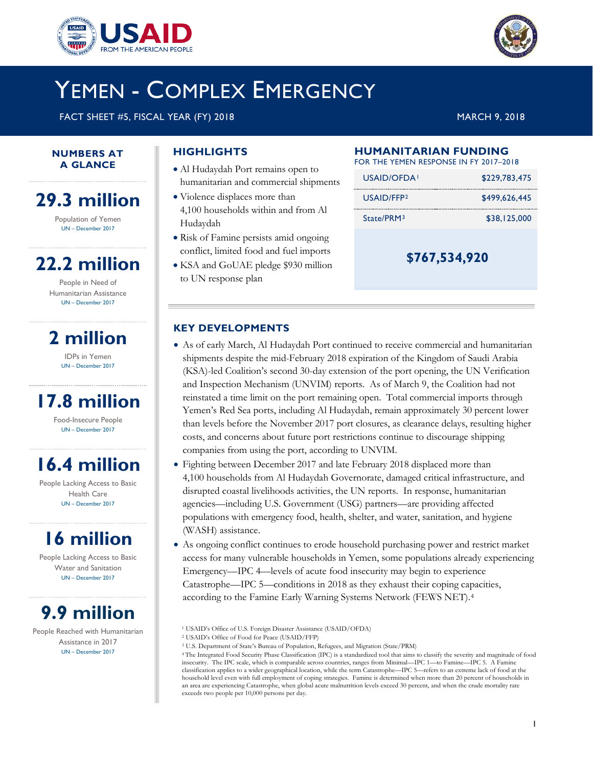



# YEMEN - COMPLEX EMERGENCY

FACT SHEET #5, FISCAL YEAR (FY) 2018 MARCH 9, 2018

#### **NUMBERS AT A GLANCE**

# **29.3 million**

Population of Yemen UN – December 2017

# **22.2 million**

People in Need of Humanitarian Assistance UN – December 2017

**2 million**

IDPs in Yemen UN – December 2017

# **17.8 million**

Food-Insecure People UN – December 2017

# **16.4 million**

People Lacking Access to Basic Health Care UN – December 2017

# **16 million**

People Lacking Access to Basic Water and Sanitation UN – December 2017

# **9.9 million**

<span id="page-0-3"></span><span id="page-0-2"></span><span id="page-0-1"></span><span id="page-0-0"></span>People Reached with Humanitarian Assistance in 2017 UN – December 2017

## **HIGHLIGHTS**

- Al Hudaydah Port remains open to humanitarian and commercial shipments
- Violence displaces more than 4,100 households within and from Al Hudaydah
- Risk of Famine persists amid ongoing conflict, limited food and fuel imports
- KSA and GoUAE pledge \$930 million to UN response plan

## **HUMANITARIAN FUNDING**

|  | FOR THE YEMEN RESPONSE IN FY 2017–2018 |  |
|--|----------------------------------------|--|
|  |                                        |  |

| USAID/OFDA!            | \$229,783,475 |
|------------------------|---------------|
| USAID/FFP <sub>2</sub> | \$499.626.445 |
| State/PRM <sup>3</sup> | \$38,125,000  |
|                        |               |

**\$767,534,920**

### **KEY DEVELOPMENTS**

- As of early March, Al Hudaydah Port continued to receive commercial and humanitarian shipments despite the mid-February 2018 expiration of the Kingdom of Saudi Arabia (KSA)-led Coalition's second 30-day extension of the port opening, the UN Verification and Inspection Mechanism (UNVIM) reports. As of March 9, the Coalition had not reinstated a time limit on the port remaining open. Total commercial imports through Yemen's Red Sea ports, including Al Hudaydah, remain approximately 30 percent lower than levels before the November 2017 port closures, as clearance delays, resulting higher costs, and concerns about future port restrictions continue to discourage shipping companies from using the port, according to UNVIM.
- Fighting between December 2017 and late February 2018 displaced more than 4,100 households from Al Hudaydah Governorate, damaged critical infrastructure, and disrupted coastal livelihoods activities, the UN reports. In response, humanitarian agencies—including U.S. Government (USG) partners—are providing affected populations with emergency food, health, shelter, and water, sanitation, and hygiene (WASH) assistance.
- As ongoing conflict continues to erode household purchasing power and restrict market access for many vulnerable households in Yemen, some populations already experiencing Emergency—IPC 4—levels of acute food insecurity may begin to experience Catastrophe—IPC 5—conditions in 2018 as they exhaust their coping capacities, according to the Famine Early Warning Systems Network (FEWS NET).[4](#page-0-0)

<sup>3</sup> U.S. Department of State's Bureau of Population, Refugees, and Migration (State/PRM)

<sup>1</sup> USAID's Office of U.S. Foreign Disaster Assistance (USAID/OFDA)

<sup>2</sup> USAID's Office of Food for Peace (USAID/FFP)

<sup>4</sup> The Integrated Food Security Phase Classification (IPC) is a standardized tool that aims to classify the severity and magnitude of food insecurity. The IPC scale, which is comparable across countries, ranges from Minimal—IPC 1—to Famine—IPC 5. A Famine classification applies to a wider geographical location, while the term Catastrophe—IPC 5—refers to an extreme lack of food at the household level even with full employment of coping strategies. Famine is determined when more than 20 percent of households in an area are experiencing Catastrophe, when global acute malnutrition levels exceed 30 percent, and when the crude mortality rate exceeds two people per 10,000 persons per day.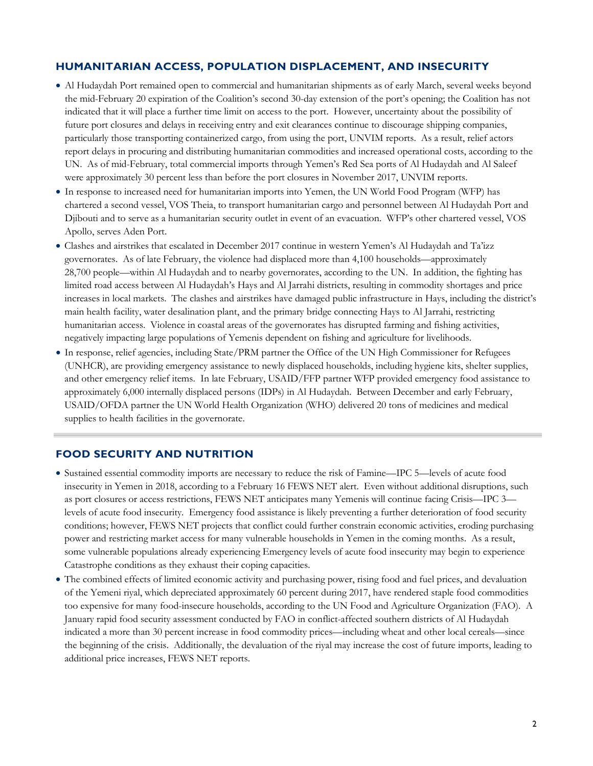### **HUMANITARIAN ACCESS, POPULATION DISPLACEMENT, AND INSECURITY**

- Al Hudaydah Port remained open to commercial and humanitarian shipments as of early March, several weeks beyond the mid-February 20 expiration of the Coalition's second 30-day extension of the port's opening; the Coalition has not indicated that it will place a further time limit on access to the port. However, uncertainty about the possibility of future port closures and delays in receiving entry and exit clearances continue to discourage shipping companies, particularly those transporting containerized cargo, from using the port, UNVIM reports. As a result, relief actors report delays in procuring and distributing humanitarian commodities and increased operational costs, according to the UN. As of mid-February, total commercial imports through Yemen's Red Sea ports of Al Hudaydah and Al Saleef were approximately 30 percent less than before the port closures in November 2017, UNVIM reports.
- In response to increased need for humanitarian imports into Yemen, the UN World Food Program (WFP) has chartered a second vessel, VOS Theia, to transport humanitarian cargo and personnel between Al Hudaydah Port and Djibouti and to serve as a humanitarian security outlet in event of an evacuation. WFP's other chartered vessel, VOS Apollo, serves Aden Port.
- Clashes and airstrikes that escalated in December 2017 continue in western Yemen's Al Hudaydah and Ta'izz governorates. As of late February, the violence had displaced more than 4,100 households—approximately 28,700 people—within Al Hudaydah and to nearby governorates, according to the UN. In addition, the fighting has limited road access between Al Hudaydah's Hays and Al Jarrahi districts, resulting in commodity shortages and price increases in local markets. The clashes and airstrikes have damaged public infrastructure in Hays, including the district's main health facility, water desalination plant, and the primary bridge connecting Hays to Al Jarrahi, restricting humanitarian access. Violence in coastal areas of the governorates has disrupted farming and fishing activities, negatively impacting large populations of Yemenis dependent on fishing and agriculture for livelihoods.
- In response, relief agencies, including State/PRM partner the Office of the UN High Commissioner for Refugees (UNHCR), are providing emergency assistance to newly displaced households, including hygiene kits, shelter supplies, and other emergency relief items. In late February, USAID/FFP partner WFP provided emergency food assistance to approximately 6,000 internally displaced persons (IDPs) in Al Hudaydah. Between December and early February, USAID/OFDA partner the UN World Health Organization (WHO) delivered 20 tons of medicines and medical supplies to health facilities in the governorate.

#### **FOOD SECURITY AND NUTRITION**

- Sustained essential commodity imports are necessary to reduce the risk of Famine—IPC 5—levels of acute food insecurity in Yemen in 2018, according to a February 16 FEWS NET alert. Even without additional disruptions, such as port closures or access restrictions, FEWS NET anticipates many Yemenis will continue facing Crisis—IPC 3 levels of acute food insecurity. Emergency food assistance is likely preventing a further deterioration of food security conditions; however, FEWS NET projects that conflict could further constrain economic activities, eroding purchasing power and restricting market access for many vulnerable households in Yemen in the coming months. As a result, some vulnerable populations already experiencing Emergency levels of acute food insecurity may begin to experience Catastrophe conditions as they exhaust their coping capacities.
- The combined effects of limited economic activity and purchasing power, rising food and fuel prices, and devaluation of the Yemeni riyal, which depreciated approximately 60 percent during 2017, have rendered staple food commodities too expensive for many food-insecure households, according to the UN Food and Agriculture Organization (FAO). A January rapid food security assessment conducted by FAO in conflict-affected southern districts of Al Hudaydah indicated a more than 30 percent increase in food commodity prices—including wheat and other local cereals—since the beginning of the crisis. Additionally, the devaluation of the riyal may increase the cost of future imports, leading to additional price increases, FEWS NET reports.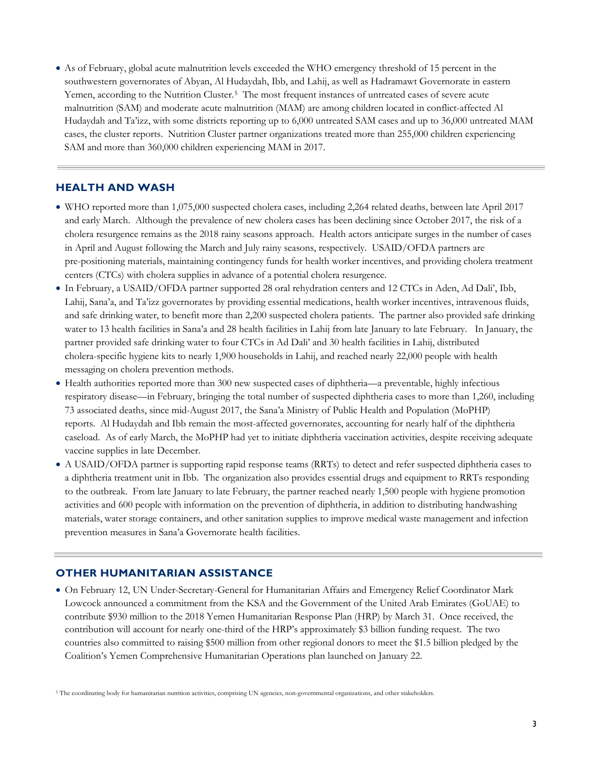• As of February, global acute malnutrition levels exceeded the WHO emergency threshold of 15 percent in the southwestern governorates of Abyan, Al Hudaydah, Ibb, and Lahij, as well as Hadramawt Governorate in eastern Yemen, according to the Nutrition Cluster.[5](#page-2-0) The most frequent instances of untreated cases of severe acute malnutrition (SAM) and moderate acute malnutrition (MAM) are among children located in conflict-affected Al Hudaydah and Ta'izz, with some districts reporting up to 6,000 untreated SAM cases and up to 36,000 untreated MAM cases, the cluster reports. Nutrition Cluster partner organizations treated more than 255,000 children experiencing SAM and more than 360,000 children experiencing MAM in 2017.

### **HEALTH AND WASH**

- WHO reported more than 1,075,000 suspected cholera cases, including 2,264 related deaths, between late April 2017 and early March. Although the prevalence of new cholera cases has been declining since October 2017, the risk of a cholera resurgence remains as the 2018 rainy seasons approach. Health actors anticipate surges in the number of cases in April and August following the March and July rainy seasons, respectively. USAID/OFDA partners are pre-positioning materials, maintaining contingency funds for health worker incentives, and providing cholera treatment centers (CTCs) with cholera supplies in advance of a potential cholera resurgence.
- In February, a USAID/OFDA partner supported 28 oral rehydration centers and 12 CTCs in Aden, Ad Dali', Ibb, Lahij, Sana'a, and Ta'izz governorates by providing essential medications, health worker incentives, intravenous fluids, and safe drinking water, to benefit more than 2,200 suspected cholera patients. The partner also provided safe drinking water to 13 health facilities in Sana'a and 28 health facilities in Lahij from late January to late February. In January, the partner provided safe drinking water to four CTCs in Ad Dali' and 30 health facilities in Lahij, distributed cholera-specific hygiene kits to nearly 1,900 households in Lahij, and reached nearly 22,000 people with health messaging on cholera prevention methods.
- Health authorities reported more than 300 new suspected cases of diphtheria—a preventable, highly infectious respiratory disease—in February, bringing the total number of suspected diphtheria cases to more than 1,260, including 73 associated deaths, since mid-August 2017, the Sana'a Ministry of Public Health and Population (MoPHP) reports. Al Hudaydah and Ibb remain the most-affected governorates, accounting for nearly half of the diphtheria caseload. As of early March, the MoPHP had yet to initiate diphtheria vaccination activities, despite receiving adequate vaccine supplies in late December.
- A USAID/OFDA partner is supporting rapid response teams (RRTs) to detect and refer suspected diphtheria cases to a diphtheria treatment unit in Ibb. The organization also provides essential drugs and equipment to RRTs responding to the outbreak. From late January to late February, the partner reached nearly 1,500 people with hygiene promotion activities and 600 people with information on the prevention of diphtheria, in addition to distributing handwashing materials, water storage containers, and other sanitation supplies to improve medical waste management and infection prevention measures in Sana'a Governorate health facilities.

#### **OTHER HUMANITARIAN ASSISTANCE**

• On February 12, UN Under-Secretary-General for Humanitarian Affairs and Emergency Relief Coordinator Mark Lowcock announced a commitment from the KSA and the Government of the United Arab Emirates (GoUAE) to contribute \$930 million to the 2018 Yemen Humanitarian Response Plan (HRP) by March 31. Once received, the contribution will account for nearly one-third of the HRP's approximately \$3 billion funding request. The two countries also committed to raising \$500 million from other regional donors to meet the \$1.5 billion pledged by the Coalition's Yemen Comprehensive Humanitarian Operations plan launched on January 22.

<span id="page-2-0"></span><sup>5</sup> The coordinating body for humanitarian nutrition activities, comprising UN agencies, non-governmental organizations, and other stakeholders.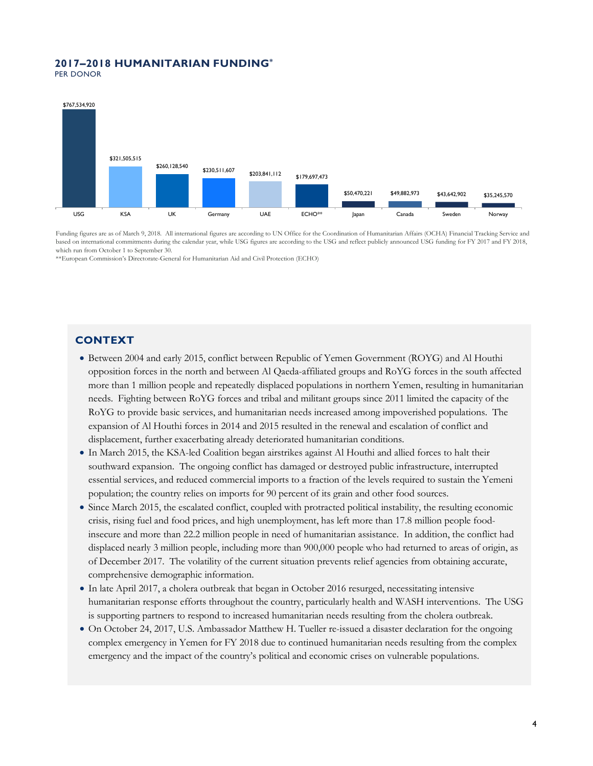## **2017–2018 HUMANITARIAN FUNDING\***

PER DONOR



Funding figures are as of March 9, 2018. All international figures are according to UN Office for the Coordination of Humanitarian Affairs (OCHA) Financial Tracking Service and based on international commitments during the calendar year, while USG figures are according to the USG and reflect publicly announced USG funding for FY 2017 and FY 2018, which run from October 1 to September 30.

\*\*European Commission's Directorate-General for Humanitarian Aid and Civil Protection (ECHO)

### **CONTEXT**

- Between 2004 and early 2015, conflict between Republic of Yemen Government (ROYG) and Al Houthi opposition forces in the north and between Al Qaeda-affiliated groups and RoYG forces in the south affected more than 1 million people and repeatedly displaced populations in northern Yemen, resulting in humanitarian needs. Fighting between RoYG forces and tribal and militant groups since 2011 limited the capacity of the RoYG to provide basic services, and humanitarian needs increased among impoverished populations. The expansion of Al Houthi forces in 2014 and 2015 resulted in the renewal and escalation of conflict and displacement, further exacerbating already deteriorated humanitarian conditions.
- In March 2015, the KSA-led Coalition began airstrikes against Al Houthi and allied forces to halt their southward expansion. The ongoing conflict has damaged or destroyed public infrastructure, interrupted essential services, and reduced commercial imports to a fraction of the levels required to sustain the Yemeni population; the country relies on imports for 90 percent of its grain and other food sources.
- Since March 2015, the escalated conflict, coupled with protracted political instability, the resulting economic crisis, rising fuel and food prices, and high unemployment, has left more than 17.8 million people foodinsecure and more than 22.2 million people in need of humanitarian assistance. In addition, the conflict had displaced nearly 3 million people, including more than 900,000 people who had returned to areas of origin, as of December 2017. The volatility of the current situation prevents relief agencies from obtaining accurate, comprehensive demographic information.
- In late April 2017, a cholera outbreak that began in October 2016 resurged, necessitating intensive humanitarian response efforts throughout the country, particularly health and WASH interventions. The USG is supporting partners to respond to increased humanitarian needs resulting from the cholera outbreak.
- On October 24, 2017, U.S. Ambassador Matthew H. Tueller re-issued a disaster declaration for the ongoing complex emergency in Yemen for FY 2018 due to continued humanitarian needs resulting from the complex emergency and the impact of the country's political and economic crises on vulnerable populations.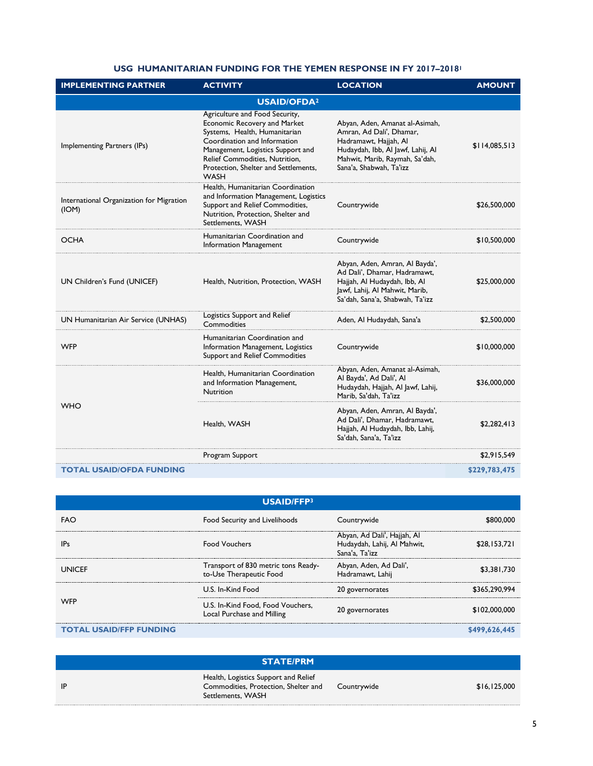#### **USG HUMANITARIAN FUNDING FOR THE YEMEN RESPONSE IN FY 2017–20181**

| <b>IMPLEMENTING PARTNER</b>                       | <b>ACTIVITY</b>                                                                                                                                                                                                                                               | <b>LOCATION</b>                                                                                                                                                                       | <b>AMOUNT</b> |  |
|---------------------------------------------------|---------------------------------------------------------------------------------------------------------------------------------------------------------------------------------------------------------------------------------------------------------------|---------------------------------------------------------------------------------------------------------------------------------------------------------------------------------------|---------------|--|
| <b>USAID/OFDA2</b>                                |                                                                                                                                                                                                                                                               |                                                                                                                                                                                       |               |  |
| Implementing Partners (IPs)                       | Agriculture and Food Security,<br>Economic Recovery and Market<br>Systems, Health, Humanitarian<br>Coordination and Information<br>Management, Logistics Support and<br>Relief Commodities, Nutrition,<br>Protection, Shelter and Settlements,<br><b>WASH</b> | Abyan, Aden, Amanat al-Asimah,<br>Amran, Ad Dali', Dhamar,<br>Hadramawt, Hajjah, Al<br>Hudaydah, Ibb, Al Jawf, Lahij, Al<br>Mahwit, Marib, Raymah, Sa'dah,<br>Sana'a, Shabwah, Ta'izz | \$114,085,513 |  |
| International Organization for Migration<br>(ION) | Health, Humanitarian Coordination<br>and Information Management, Logistics<br>Support and Relief Commodities,<br>Nutrition, Protection, Shelter and<br>Settlements, WASH                                                                                      | Countrywide                                                                                                                                                                           | \$26,500,000  |  |
| <b>OCHA</b>                                       | Humanitarian Coordination and<br>Information Management                                                                                                                                                                                                       | Countrywide                                                                                                                                                                           | \$10,500,000  |  |
| UN Children's Fund (UNICEF)                       | Health, Nutrition, Protection, WASH                                                                                                                                                                                                                           | Abyan, Aden, Amran, Al Bayda',<br>Ad Dali', Dhamar, Hadramawt,<br>Hajjah, Al Hudaydah, Ibb, Al<br>Jawf, Lahij, Al Mahwit, Marib,<br>Sa'dah, Sana'a, Shabwah, Ta'izz                   | \$25,000,000  |  |
| UN Humanitarian Air Service (UNHAS)               | <b>Logistics Support and Relief</b><br>Commodities                                                                                                                                                                                                            | Aden, Al Hudaydah, Sana'a                                                                                                                                                             | \$2,500,000   |  |
| <b>WFP</b>                                        | Humanitarian Coordination and<br>Information Management, Logistics<br>Support and Relief Commodities                                                                                                                                                          | Countrywide                                                                                                                                                                           | \$10,000,000  |  |
|                                                   | Health, Humanitarian Coordination<br>and Information Management,<br><b>Nutrition</b>                                                                                                                                                                          | Abyan, Aden, Amanat al-Asimah,<br>Al Bayda', Ad Dali', Al<br>Hudaydah, Hajjah, Al Jawf, Lahij,<br>Marib, Sa'dah, Ta'izz                                                               | \$36,000,000  |  |
| <b>WHO</b>                                        | Health, WASH                                                                                                                                                                                                                                                  | Abyan, Aden, Amran, Al Bayda',<br>Ad Dali', Dhamar, Hadramawt,<br>Hajjah, Al Hudaydah, Ibb, Lahij,<br>Sa'dah, Sana'a, Ta'izz                                                          | \$2,282,413   |  |
|                                                   | Program Support                                                                                                                                                                                                                                               |                                                                                                                                                                                       | \$2,915,549   |  |
| <b>TOTAL USAID/OFDA FUNDING</b>                   |                                                                                                                                                                                                                                                               |                                                                                                                                                                                       | \$229,783,475 |  |

| <b>USAID/FFP3</b>              |                                                                 |                                                                              |               |
|--------------------------------|-----------------------------------------------------------------|------------------------------------------------------------------------------|---------------|
| FAO                            | Food Security and Livelihoods                                   | Countrywide                                                                  |               |
| IPs                            | <b>Food Vouchers</b>                                            | Abyan, Ad Dali', Hajjah, Al<br>Hudaydah, Lahij, Al Mahwit,<br>Sana'a, Ta'izz | \$28,153,721  |
| UNICFF                         | Transport of 830 metric tons Ready-<br>to-Use Therapeutic Food  | Abyan, Aden, Ad Dali',<br>Hadramawt, Lahij                                   | \$3,381,730   |
|                                | U.S. In-Kind Food                                               | 20 governorates                                                              | \$365,290,994 |
| WFP                            | U.S. In-Kind Food, Food Vouchers,<br>Local Purchase and Milling | 20 governorates                                                              | \$102,000,000 |
| <b>TOTAL USAID/FFP FUNDING</b> |                                                                 |                                                                              | \$499.626     |

|     | <b>STATE/PRM</b>                                                                                  |             |              |
|-----|---------------------------------------------------------------------------------------------------|-------------|--------------|
| -IP | Health, Logistics Support and Relief<br>Commodities, Protection, Shelter and<br>Settlements, WASH | Countrywide | \$16,125,000 |